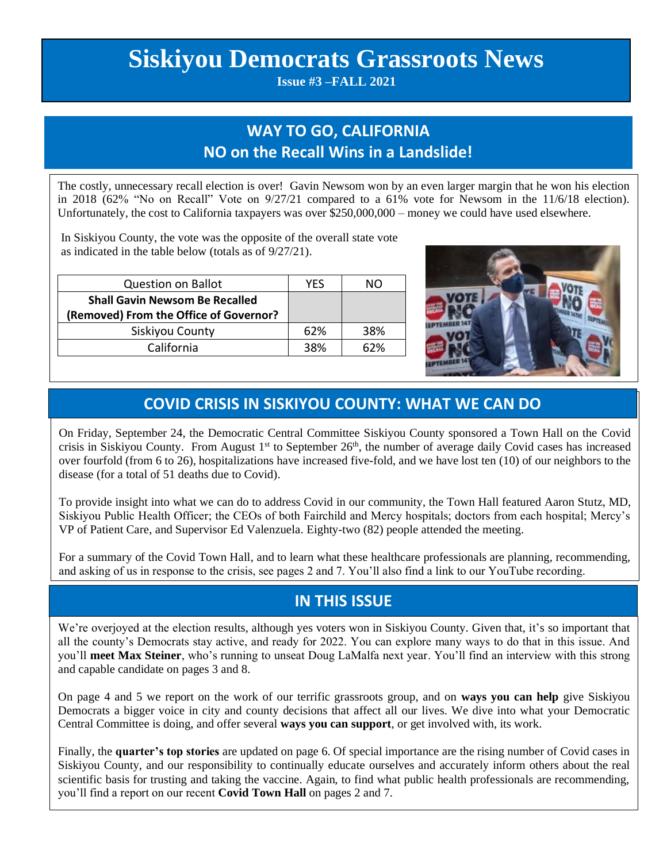# **Siskiyou Democrats Grassroots News**

**Issue #3 –FALL 2021**

# **WAY TO GO, CALIFORNIA NO on the Recall Wins in a Landslide!**

The costly, unnecessary recall election is over! Gavin Newsom won by an even larger margin that he won his election in 2018 (62% "No on Recall" Vote on 9/27/21 compared to a 61% vote for Newsom in the 11/6/18 election). Unfortunately, the cost to California taxpayers was over \$250,000,000 – money we could have used elsewhere.

In Siskiyou County, the vote was the opposite of the overall state vote as indicated in the table below (totals as of 9/27/21).

| <b>Question on Ballot</b>              | YES |     |
|----------------------------------------|-----|-----|
| <b>Shall Gavin Newsom Be Recalled</b>  |     |     |
| (Removed) From the Office of Governor? |     |     |
| Siskiyou County                        | 62% | 38% |
| California                             | 38% | 62% |

 $\overline{a}$ 



### **COVID CRISIS IN SISKIYOU COUNTY: WHAT WE CAN DO**

On Friday, September 24, the Democratic Central Committee Siskiyou County sponsored a Town Hall on the Covid crisis in Siskiyou County. From August  $1<sup>st</sup>$  to September  $26<sup>th</sup>$ , the number of average daily Covid cases has increased over fourfold (from 6 to 26), hospitalizations have increased five-fold, and we have lost ten (10) of our neighbors to the disease (for a total of 51 deaths due to Covid).

To provide insight into what we can do to address Covid in our community, the Town Hall featured Aaron Stutz, MD, Siskiyou Public Health Officer; the CEOs of both Fairchild and Mercy hospitals; doctors from each hospital; Mercy's VP of Patient Care, and Supervisor Ed Valenzuela. Eighty-two (82) people attended the meeting.

For a summary of the Covid Town Hall, and to learn what these healthcare professionals are planning, recommending, and asking of us in response to the crisis, see pages 2 and 7. You'll also find a link to our YouTube recording.

### **IN THIS ISSUE**

We're overjoyed at the election results, although yes voters won in Siskiyou County. Given that, it's so important that all the county's Democrats stay active, and ready for 2022. You can explore many ways to do that in this issue. And you'll **meet Max Steiner**, who's running to unseat Doug LaMalfa next year. You'll find an interview with this strong and capable candidate on pages 3 and 8.

On page 4 and 5 we report on the work of our terrific grassroots group, and on **ways you can help** give Siskiyou Democrats a bigger voice in city and county decisions that affect all our lives. We dive into what your Democratic Central Committee is doing, and offer several **ways you can support**, or get involved with, its work.

Finally, the **quarter's top stories** are updated on page 6. Of special importance are the rising number of Covid cases in Siskiyou County, and our responsibility to continually educate ourselves and accurately inform others about the real scientific basis for trusting and taking the vaccine. Again, to find what public health professionals are recommending, you'll find a report on our recent **Covid Town Hall** on pages 2 and 7.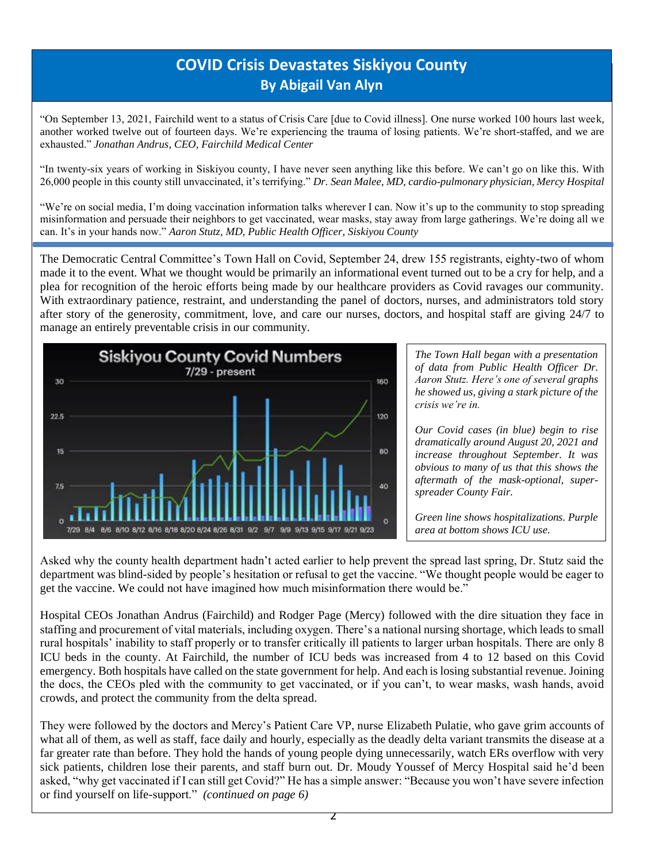# **COVID Crisis Devastates Siskiyou County By Abigail Van Alyn**

"On September 13, 2021, Fairchild went to a status of Crisis Care [due to Covid illness]. One nurse worked 100 hours last week, another worked twelve out of fourteen days. We're experiencing the trauma of losing patients. We're short-staffed, and we are exhausted." *Jonathan Andrus, CEO, Fairchild Medical Center*

"In twenty-six years of working in Siskiyou county, I have never seen anything like this before. We can't go on like this. With 26,000 people in this county still unvaccinated, it's terrifying." *Dr. Sean Malee, MD, cardio-pulmonary physician, Mercy Hospital*

"We're on social media, I'm doing vaccination information talks wherever I can. Now it's up to the community to stop spreading misinformation and persuade their neighbors to get vaccinated, wear masks, stay away from large gatherings. We're doing all we can. It's in your hands now." *Aaron Stutz, MD, Public Health Officer, Siskiyou County*

The Democratic Central Committee's Town Hall on Covid, September 24, drew 155 registrants, eighty-two of whom made it to the event. What we thought would be primarily an informational event turned out to be a cry for help, and a plea for recognition of the heroic efforts being made by our healthcare providers as Covid ravages our community. With extraordinary patience, restraint, and understanding the panel of doctors, nurses, and administrators told story after story of the generosity, commitment, love, and care our nurses, doctors, and hospital staff are giving 24/7 to manage an entirely preventable crisis in our community.



*The Town Hall began with a presentation of data from Public Health Officer Dr. Aaron Stutz. Here's one of several graphs he showed us, giving a stark picture of the crisis we're in.* 

*Our Covid cases (in blue) begin to rise dramatically around August 20, 2021 and increase throughout September. It was obvious to many of us that this shows the aftermath of the mask-optional, superspreader County Fair.*

*Green line shows hospitalizations. Purple area at bottom shows ICU use.*

Asked why the county health department hadn't acted earlier to help prevent the spread last spring, Dr. Stutz said the department was blind-sided by people's hesitation or refusal to get the vaccine. "We thought people would be eager to get the vaccine. We could not have imagined how much misinformation there would be."

Hospital CEOs Jonathan Andrus (Fairchild) and Rodger Page (Mercy) followed with the dire situation they face in staffing and procurement of vital materials, including oxygen. There's a national nursing shortage, which leads to small rural hospitals' inability to staff properly or to transfer critically ill patients to larger urban hospitals. There are only 8 ICU beds in the county. At Fairchild, the number of ICU beds was increased from 4 to 12 based on this Covid emergency. Both hospitals have called on the state government for help. And each is losing substantial revenue. Joining the docs, the CEOs pled with the community to get vaccinated, or if you can't, to wear masks, wash hands, avoid crowds, and protect the community from the delta spread.

They were followed by the doctors and Mercy's Patient Care VP, nurse Elizabeth Pulatie, who gave grim accounts of what all of them, as well as staff, face daily and hourly, especially as the deadly delta variant transmits the disease at a far greater rate than before. They hold the hands of young people dying unnecessarily, watch ERs overflow with very sick patients, children lose their parents, and staff burn out. Dr. Moudy Youssef of Mercy Hospital said he'd been asked, "why get vaccinated if I can still get Covid?" He has a simple answer: "Because you won't have severe infection or find yourself on life-support." *(continued on page 6)*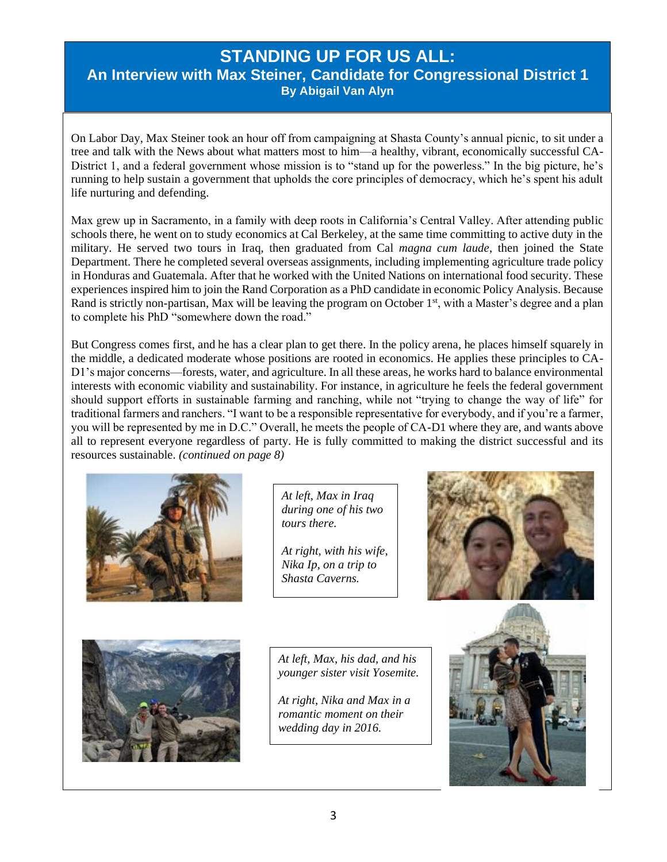### **STANDING UP FOR US ALL:**

**An Interview with Max Steiner, Candidate for Congressional District 1 By Abigail Van Alyn**

On Labor Day, Max Steiner took an hour off from campaigning at Shasta County's annual picnic, to sit under a tree and talk with the News about what matters most to him—a healthy, vibrant, economically successful CA-District 1, and a federal government whose mission is to "stand up for the powerless." In the big picture, he's running to help sustain a government that upholds the core principles of democracy, which he's spent his adult life nurturing and defending.

Max grew up in Sacramento, in a family with deep roots in California's Central Valley. After attending public schools there, he went on to study economics at Cal Berkeley, at the same time committing to active duty in the military. He served two tours in Iraq, then graduated from Cal *magna cum laude*, then joined the State Department. There he completed several overseas assignments, including implementing agriculture trade policy in Honduras and Guatemala. After that he worked with the United Nations on international food security. These experiences inspired him to join the Rand Corporation as a PhD candidate in economic Policy Analysis. Because Rand is strictly non-partisan, Max will be leaving the program on October  $1<sup>st</sup>$ , with a Master's degree and a plan to complete his PhD "somewhere down the road."

But Congress comes first, and he has a clear plan to get there. In the policy arena, he places himself squarely in the middle, a dedicated moderate whose positions are rooted in economics. He applies these principles to CA-D1's major concerns—forests, water, and agriculture. In all these areas, he works hard to balance environmental interests with economic viability and sustainability. For instance, in agriculture he feels the federal government should support efforts in sustainable farming and ranching, while not "trying to change the way of life" for traditional farmers and ranchers. "I want to be a responsible representative for everybody, and if you're a farmer, you will be represented by me in D.C." Overall, he meets the people of CA-D1 where they are, and wants above all to represent everyone regardless of party. He is fully committed to making the district successful and its resources sustainable. *(continued on page 8)*



*At left, Max in Iraq during one of his two tours there.* 

*At right, with his wife, Nika Ip, on a trip to Shasta Caverns.*





*At left, Max, his dad, and his younger sister visit Yosemite.*

*At right, Nika and Max in a romantic moment on their wedding day in 2016.*

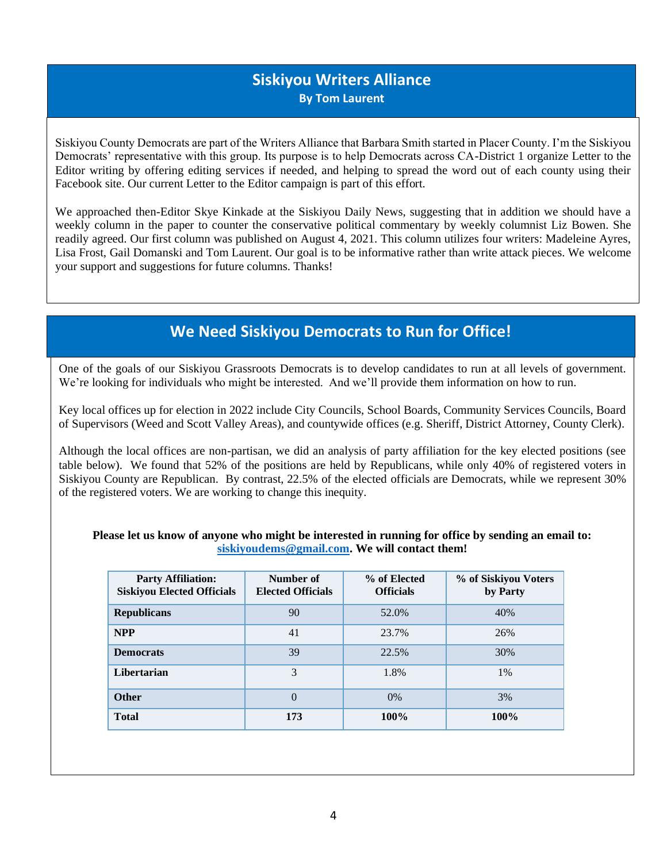### **Siskiyou Writers Alliance By Tom Laurent**

Siskiyou County Democrats are part of the Writers Alliance that Barbara Smith started in Placer County. I'm the Siskiyou Democrats' representative with this group. Its purpose is to help Democrats across CA-District 1 organize Letter to the Editor writing by offering editing services if needed, and helping to spread the word out of each county using their Facebook site. Our current Letter to the Editor campaign is part of this effort.

We approached then-Editor Skye Kinkade at the Siskiyou Daily News, suggesting that in addition we should have a weekly column in the paper to counter the conservative political commentary by weekly columnist Liz Bowen. She readily agreed. Our first column was published on August 4, 2021. This column utilizes four writers: Madeleine Ayres, Lisa Frost, Gail Domanski and Tom Laurent. Our goal is to be informative rather than write attack pieces. We welcome your support and suggestions for future columns. Thanks!

### **We Need Siskiyou Democrats to Run for Office!**

One of the goals of our Siskiyou Grassroots Democrats is to develop candidates to run at all levels of government. We're looking for individuals who might be interested. And we'll provide them information on how to run.

Key local offices up for election in 2022 include City Councils, School Boards, Community Services Councils, Board of Supervisors (Weed and Scott Valley Areas), and countywide offices (e.g. Sheriff, District Attorney, County Clerk).

Although the local offices are non-partisan, we did an analysis of party affiliation for the key elected positions (see table below). We found that 52% of the positions are held by Republicans, while only 40% of registered voters in Siskiyou County are Republican. By contrast, 22.5% of the elected officials are Democrats, while we represent 30% of the registered voters. We are working to change this inequity.

| Please let us know of anyone who might be interested in running for office by sending an email to: |
|----------------------------------------------------------------------------------------------------|
| siskiyoudems@gmail.com. We will contact them!                                                      |

| <b>Party Affiliation:</b><br><b>Siskiyou Elected Officials</b> | Number of<br><b>Elected Officials</b> | % of Elected<br><b>Officials</b> | % of Siskiyou Voters<br>by Party |
|----------------------------------------------------------------|---------------------------------------|----------------------------------|----------------------------------|
| <b>Republicans</b>                                             | 90                                    | 52.0%                            | 40%                              |
| <b>NPP</b>                                                     | 41                                    | 23.7%                            | 26%                              |
| <b>Democrats</b>                                               | 39                                    | 22.5%                            | 30%                              |
| Libertarian                                                    | 3                                     | 1.8%                             | $1\%$                            |
| <b>Other</b>                                                   | $\overline{0}$                        | $0\%$                            | 3%                               |
| <b>Total</b>                                                   | 173                                   | 100%                             | 100%                             |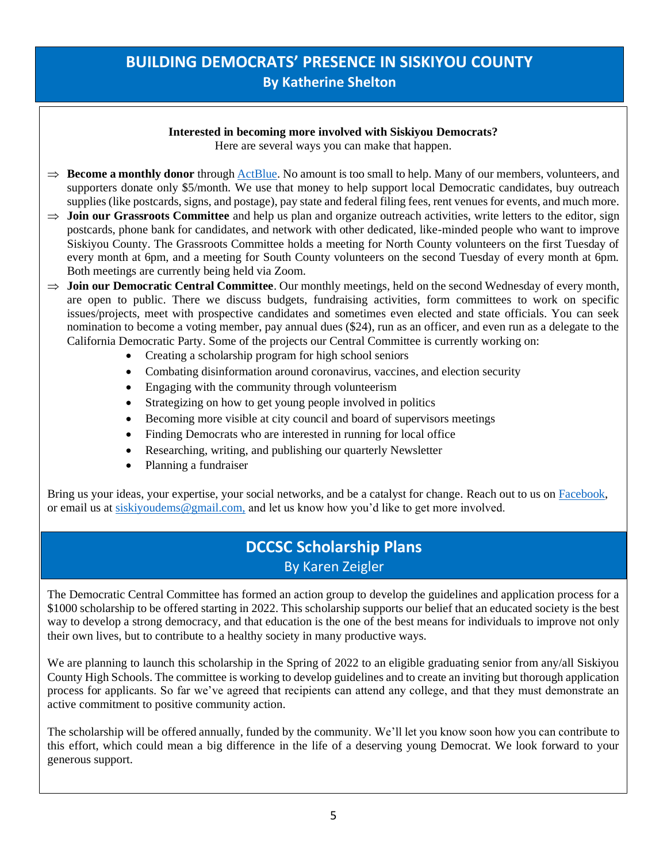### **BUILDING DEMOCRATS' PRESENCE IN SISKIYOU COUNTY By Katherine Shelton**

#### **Interested in becoming more involved with Siskiyou Democrats?**

Here are several ways you can make that happen.

- $\Rightarrow$  **Become a monthly donor** throug[h ActBlue.](https://secure.actblue.com/donate/democratic-central-committee-of-siskiyou-county-federal-1) No amount is too small to help. Many of our members, volunteers, and supporters donate only \$5/month. We use that money to help support local Democratic candidates, buy outreach supplies (like postcards, signs, and postage), pay state and federal filing fees, rent venues for events, and much more.
- $\Rightarrow$  **Join our Grassroots Committee** and help us plan and organize outreach activities, write letters to the editor, sign postcards, phone bank for candidates, and network with other dedicated, like-minded people who want to improve Siskiyou County. The Grassroots Committee holds a meeting for North County volunteers on the first Tuesday of every month at 6pm, and a meeting for South County volunteers on the second Tuesday of every month at 6pm. Both meetings are currently being held via Zoom.
- $\Rightarrow$  **Join our Democratic Central Committee**. Our monthly meetings, held on the second Wednesday of every month, are open to public. There we discuss budgets, fundraising activities, form committees to work on specific issues/projects, meet with prospective candidates and sometimes even elected and state officials. You can seek nomination to become a voting member, pay annual dues (\$24), run as an officer, and even run as a delegate to the California Democratic Party. Some of the projects our Central Committee is currently working on:
	- Creating a scholarship program for high school seniors
	- Combating disinformation around coronavirus, vaccines, and election security
	- Engaging with the community through volunteerism
	- Strategizing on how to get young people involved in politics
	- Becoming more visible at city council and board of supervisors meetings
	- Finding Democrats who are interested in running for local office
	- Researching, writing, and publishing our quarterly Newsletter
	- Planning a fundraiser

Bring us your ideas, your expertise, your social networks, and be a catalyst for change. Reach out to us o[n Facebook,](https://www.facebook.com/SiskiyouCountyDemocrats) or email us at [siskiyoudems@gmail.com,](mailto:siskiyoudems@gmail.com) and let us know how you'd like to get more involved.

### **DCCSC Scholarship Plans** By Karen Zeigler

The Democratic Central Committee has formed an action group to develop the guidelines and application process for a \$1000 scholarship to be offered starting in 2022. This scholarship supports our belief that an educated society is the best way to develop a strong democracy, and that education is the one of the best means for individuals to improve not only their own lives, but to contribute to a healthy society in many productive ways.

We are planning to launch this scholarship in the Spring of 2022 to an eligible graduating senior from any/all Siskiyou County High Schools. The committee is working to develop guidelines and to create an inviting but thorough application process for applicants. So far we've agreed that recipients can attend any college, and that they must demonstrate an active commitment to positive community action.

The scholarship will be offered annually, funded by the community. We'll let you know soon how you can contribute to this effort, which could mean a big difference in the life of a deserving young Democrat. We look forward to your generous support.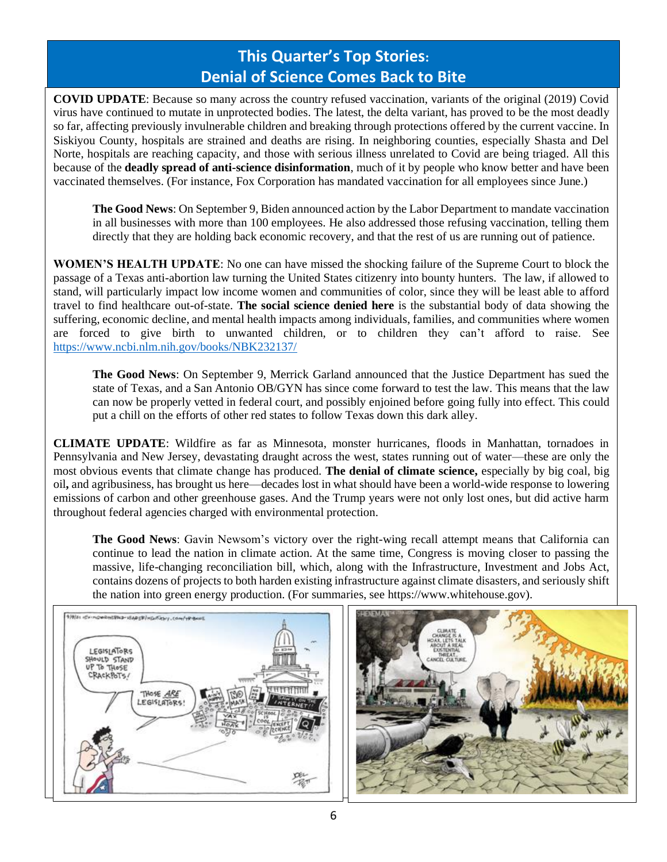# **This Quarter's Top Stories: Denial of Science Comes Back to Bite**

**COVID UPDATE**: Because so many across the country refused vaccination, variants of the original (2019) Covid virus have continued to mutate in unprotected bodies. The latest, the delta variant, has proved to be the most deadly so far, affecting previously invulnerable children and breaking through protections offered by the current vaccine. In Siskiyou County, hospitals are strained and deaths are rising. In neighboring counties, especially Shasta and Del Norte, hospitals are reaching capacity, and those with serious illness unrelated to Covid are being triaged. All this because of the **deadly spread of anti-science disinformation**, much of it by people who know better and have been vaccinated themselves. (For instance, Fox Corporation has mandated vaccination for all employees since June.)

**The Good News**: On September 9, Biden announced action by the Labor Department to mandate vaccination in all businesses with more than 100 employees. He also addressed those refusing vaccination, telling them directly that they are holding back economic recovery, and that the rest of us are running out of patience.

**WOMEN'S HEALTH UPDATE**: No one can have missed the shocking failure of the Supreme Court to block the passage of a Texas anti-abortion law turning the United States citizenry into bounty hunters. The law, if allowed to stand, will particularly impact low income women and communities of color, since they will be least able to afford travel to find healthcare out-of-state. **The social science denied here** is the substantial body of data showing the suffering, economic decline, and mental health impacts among individuals, families, and communities where women are forced to give birth to unwanted children, or to children they can't afford to raise. See <https://www.ncbi.nlm.nih.gov/books/NBK232137/>

**The Good News**: On September 9, Merrick Garland announced that the Justice Department has sued the state of Texas, and a San Antonio OB/GYN has since come forward to test the law. This means that the law can now be properly vetted in federal court, and possibly enjoined before going fully into effect. This could put a chill on the efforts of other red states to follow Texas down this dark alley.

**CLIMATE UPDATE**: Wildfire as far as Minnesota, monster hurricanes, floods in Manhattan, tornadoes in Pennsylvania and New Jersey, devastating draught across the west, states running out of water—these are only the most obvious events that climate change has produced. **The denial of climate science,** especially by big coal, big oil**,** and agribusiness, has brought us here—decades lost in what should have been a world-wide response to lowering emissions of carbon and other greenhouse gases. And the Trump years were not only lost ones, but did active harm throughout federal agencies charged with environmental protection.

**The Good News**: Gavin Newsom's victory over the right-wing recall attempt means that California can continue to lead the nation in climate action. At the same time, Congress is moving closer to passing the massive, life-changing reconciliation bill, which, along with the Infrastructure, Investment and Jobs Act, contains dozens of projects to both harden existing infrastructure against climate disasters, and seriously shift the nation into green energy production. (For summaries, see https://www.whitehouse.gov).



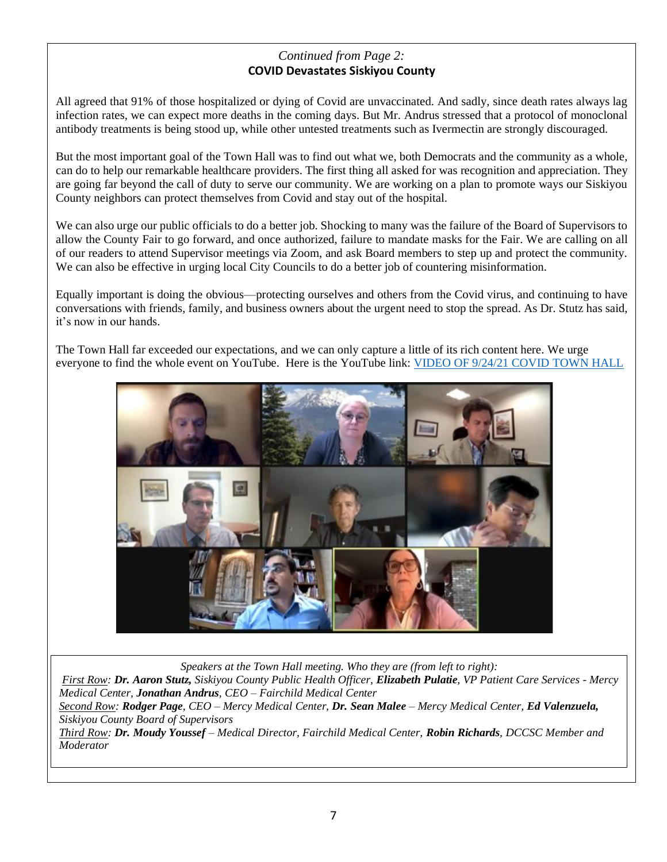### *Continued from Page 2:* **COVID Devastates Siskiyou County**

All agreed that 91% of those hospitalized or dying of Covid are unvaccinated. And sadly, since death rates always lag infection rates, we can expect more deaths in the coming days. But Mr. Andrus stressed that a protocol of monoclonal antibody treatments is being stood up, while other untested treatments such as Ivermectin are strongly discouraged.

But the most important goal of the Town Hall was to find out what we, both Democrats and the community as a whole, can do to help our remarkable healthcare providers. The first thing all asked for was recognition and appreciation. They are going far beyond the call of duty to serve our community. We are working on a plan to promote ways our Siskiyou County neighbors can protect themselves from Covid and stay out of the hospital.

We can also urge our public officials to do a better job. Shocking to many was the failure of the Board of Supervisors to allow the County Fair to go forward, and once authorized, failure to mandate masks for the Fair. We are calling on all of our readers to attend Supervisor meetings via Zoom, and ask Board members to step up and protect the community. We can also be effective in urging local City Councils to do a better job of countering misinformation.

Equally important is doing the obvious—protecting ourselves and others from the Covid virus, and continuing to have conversations with friends, family, and business owners about the urgent need to stop the spread. As Dr. Stutz has said, it's now in our hands.

The Town Hall far exceeded our expectations, and we can only capture a little of its rich content here. We urge everyone to find the whole event on YouTube. Here is the YouTube link[: VIDEO OF 9/24/21 COVID](https://youtu.be/hN1PDHxT6QA) TOWN HALL



*Speakers at the Town Hall meeting. Who they are (from left to right):*

*First Row: Dr. Aaron Stutz, Siskiyou County Public Health Officer, Elizabeth Pulatie, VP Patient Care Services - Mercy Medical Center, Jonathan Andrus, CEO – Fairchild Medical Center*

*Second Row: Rodger Page, CEO – Mercy Medical Center, Dr. Sean Malee – Mercy Medical Center, Ed Valenzuela, Siskiyou County Board of Supervisors*

*Third Row: Dr. Moudy Youssef – Medical Director, Fairchild Medical Center, Robin Richards, DCCSC Member and Moderator*